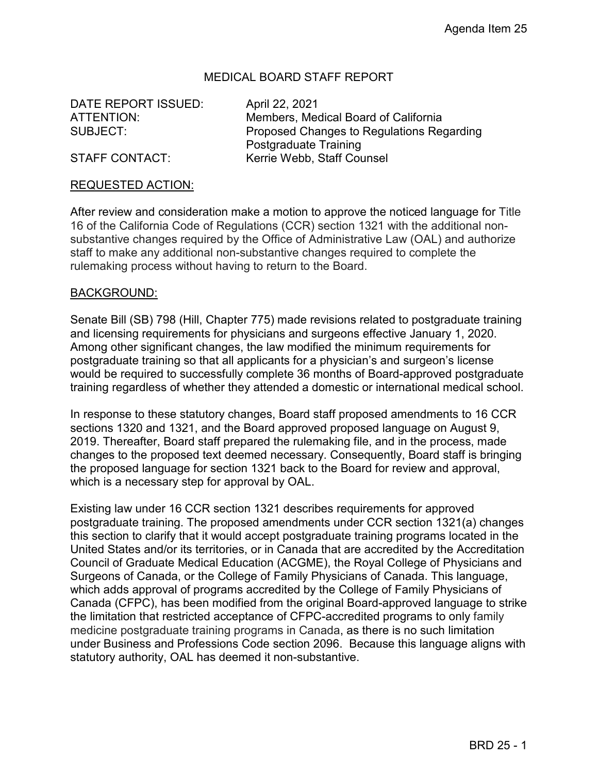# MEDICAL BOARD STAFF REPORT

DATE REPORT ISSUED: April 22, 2021

ATTENTION: Members, Medical Board of California SUBJECT: Proposed Changes to Regulations Regarding Postgraduate Training STAFF CONTACT: Kerrie Webb, Staff Counsel

### REQUESTED ACTION:

After review and consideration make a motion to approve the noticed language for Title 16 of the California Code of Regulations (CCR) section 1321 with the additional nonsubstantive changes required by the Office of Administrative Law (OAL) and authorize staff to make any additional non-substantive changes required to complete the rulemaking process without having to return to the Board.

### BACKGROUND:

Senate Bill (SB) 798 (Hill, Chapter 775) made revisions related to postgraduate training and licensing requirements for physicians and surgeons effective January 1, 2020. Among other significant changes, the law modified the minimum requirements for postgraduate training so that all applicants for a physician's and surgeon's license would be required to successfully complete 36 months of Board-approved postgraduate training regardless of whether they attended a domestic or international medical school.

In response to these statutory changes, Board staff proposed amendments to 16 CCR sections 1320 and 1321, and the Board approved proposed language on August 9, 2019. Thereafter, Board staff prepared the rulemaking file, and in the process, made changes to the proposed text deemed necessary. Consequently, Board staff is bringing the proposed language for section 1321 back to the Board for review and approval, which is a necessary step for approval by OAL.

Existing law under 16 CCR section 1321 describes requirements for approved postgraduate training. The proposed amendments under CCR section 1321(a) changes this section to clarify that it would accept postgraduate training programs located in the United States and/or its territories, or in Canada that are accredited by the Accreditation Council of Graduate Medical Education (ACGME), the Royal College of Physicians and Surgeons of Canada, or the College of Family Physicians of Canada. This language, which adds approval of programs accredited by the College of Family Physicians of Canada (CFPC), has been modified from the original Board-approved language to strike the limitation that restricted acceptance of CFPC-accredited programs to only family medicine postgraduate training programs in Canada, as there is no such limitation under Business and Professions Code section 2096. Because this language aligns with statutory authority, OAL has deemed it non-substantive.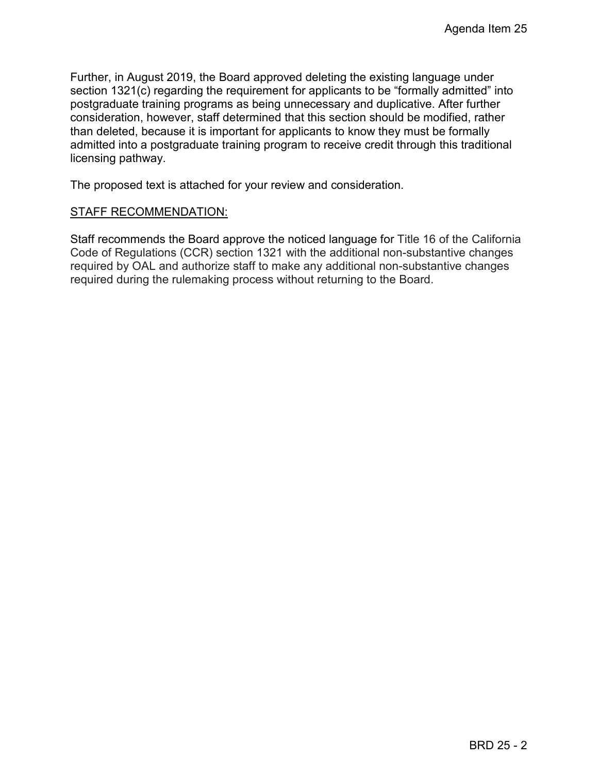Further, in August 2019, the Board approved deleting the existing language under section 1321(c) regarding the requirement for applicants to be "formally admitted" into postgraduate training programs as being unnecessary and duplicative. After further consideration, however, staff determined that this section should be modified, rather than deleted, because it is important for applicants to know they must be formally admitted into a postgraduate training program to receive credit through this traditional licensing pathway.

The proposed text is attached for your review and consideration.

### STAFF RECOMMENDATION:

Staff recommends the Board approve the noticed language for Title 16 of the California Code of Regulations (CCR) section 1321 with the additional non-substantive changes required by OAL and authorize staff to make any additional non-substantive changes required during the rulemaking process without returning to the Board.